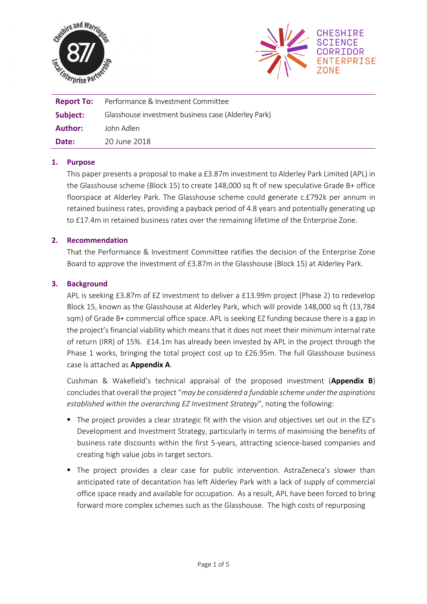



| <b>Report To:</b> | Performance & Investment Committee                  |
|-------------------|-----------------------------------------------------|
| Subject:          | Glasshouse investment business case (Alderley Park) |
| Author:           | John Adlen                                          |
| Date:             | -20 June 2018                                       |

## **1. Purpose**

This paper presents a proposal to make a £3.87m investment to Alderley Park Limited (APL) in the Glasshouse scheme (Block 15) to create 148,000 sq ft of new speculative Grade B+ office floorspace at Alderley Park. The Glasshouse scheme could generate c.£792k per annum in retained business rates, providing a payback period of 4.8 years and potentially generating up to £17.4m in retained business rates over the remaining lifetime of the Enterprise Zone.

## **2. Recommendation**

That the Performance & Investment Committee ratifies the decision of the Enterprise Zone Board to approve the investment of £3.87m in the Glasshouse (Block 15) at Alderley Park.

## **3. Background**

APL is seeking £3.87m of EZ investment to deliver a £13.99m project (Phase 2) to redevelop Block 15, known as the Glasshouse at Alderley Park, which will provide 148,000 sq ft (13,784 sqm) of Grade B+ commercial office space. APL is seeking EZ funding because there is a gap in the project's financial viability which means that it does not meet their minimum internal rate of return (IRR) of 15%. £14.1m has already been invested by APL in the project through the Phase 1 works, bringing the total project cost up to £26.95m. The full Glasshouse business case is attached as **Appendix A**.

Cushman & Wakefield's technical appraisal of the proposed investment (**Appendix B**) concludesthat overall the project "*may be considered a fundable scheme under the aspirations established within the overarching EZ Investment Strategy*", noting the following:

- The project provides a clear strategic fit with the vision and objectives set out in the EZ's Development and Investment Strategy, particularly in terms of maximising the benefits of business rate discounts within the first 5-years, attracting science-based companies and creating high value jobs in target sectors.
- The project provides a clear case for public intervention. AstraZeneca's slower than anticipated rate of decantation has left Alderley Park with a lack of supply of commercial office space ready and available for occupation. As a result, APL have been forced to bring forward more complex schemes such as the Glasshouse. The high costs of repurposing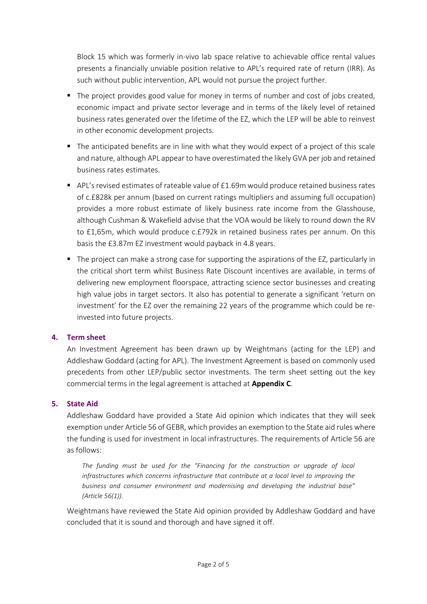Block 15 which was formerly in-vivo lab space relative to achievable office rental values presents a financially unviable position relative to APL's required rate of return (IRR). As such without public intervention, APL would not pursue the project further.

- The project provides good value for money in terms of number and cost of jobs created, economic impact and private sector leverage and in terms of the likely level of retained business rates generated over the lifetime of the EZ, which the LEP will be able to reinvest in other economic development projects.
- The anticipated benefits are in line with what they would expect of a project of this scale and nature, although APL appear to have overestimated the likely GVA per job and retained business rates estimates.
- APL's revised estimates of rateable value of £1.69m would produce retained business rates of c.£828k per annum (based on current ratings multipliers and assuming full occupation) provides a more robust estimate of likely business rate income from the Glasshouse, although Cushman & Wakefield advise that the VOA would be likely to round down the RV to £1,65m, which would produce c.£792k in retained business rates per annum. On this basis the £3.87m EZ investment would payback in 4.8 years.
- The project can make a strong case for supporting the aspirations of the EZ, particularly in the critical short term whilst Business Rate Discount incentives are available, in terms of delivering new employment floorspace, attracting science sector businesses and creating high value jobs in target sectors. It also has potential to generate a significant 'return on investment' for the EZ over the remaining 22 years of the programme which could be reinvested into future projects.

# **4. Term sheet**

An Investment Agreement has been drawn up by Weightmans (acting for the LEP) and Addleshaw Goddard (acting for APL). The Investment Agreement is based on commonly used precedents from other LEP/public sector investments. The term sheet setting out the key commercial terms in the legal agreement is attached at **Appendix C**.

#### **5. State Aid**

Addleshaw Goddard have provided a State Aid opinion which indicates that they will seek exemption under Article 56 of GEBR, which provides an exemption to the State aid rules where the funding is used for investment in local infrastructures. The requirements of Article 56 are as follows:

The funding must be used for the "Financing for the construction or upgrade of local *infrastructures which concerns infrastructure that contribute at a local level to improving the business and consumer environment and modernising and developing the industrial base" (Article 56(1)).*

Weightmans have reviewed the State Aid opinion provided by Addleshaw Goddard and have concluded that it is sound and thorough and have signed it off.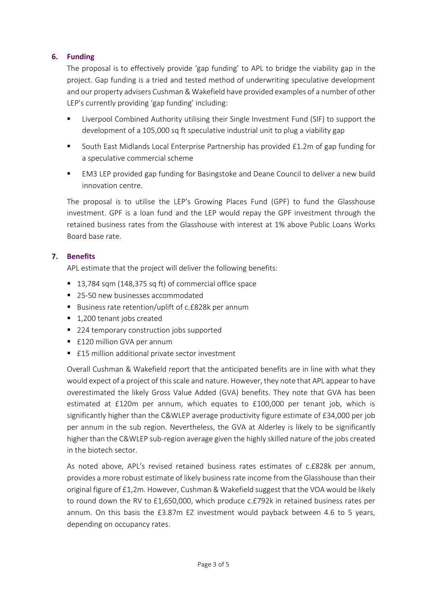# **6. Funding**

The proposal is to effectively provide 'gap funding' to APL to bridge the viability gap in the project. Gap funding is a tried and tested method of underwriting speculative development and our property advisers Cushman & Wakefield have provided examples of a number of other LEP's currently providing 'gap funding' including:

- Liverpool Combined Authority utilising their Single Investment Fund (SIF) to support the development of a 105,000 sq ft speculative industrial unit to plug a viability gap
- South East Midlands Local Enterprise Partnership has provided £1.2m of gap funding for a speculative commercial scheme
- EM3 LEP provided gap funding for Basingstoke and Deane Council to deliver a new build innovation centre.

The proposal is to utilise the LEP's Growing Places Fund (GPF) to fund the Glasshouse investment. GPF is a loan fund and the LEP would repay the GPF investment through the retained business rates from the Glasshouse with interest at 1% above Public Loans Works Board base rate.

# **7. Benefits**

APL estimate that the project will deliver the following benefits:

- 13,784 sqm (148,375 sq ft) of commercial office space
- 25-50 new businesses accommodated
- Business rate retention/uplift of c.£828k per annum
- 1,200 tenant jobs created
- 224 temporary construction jobs supported
- £120 million GVA per annum
- £15 million additional private sector investment

Overall Cushman & Wakefield report that the anticipated benefits are in line with what they would expect of a project of this scale and nature. However, they note that APL appear to have overestimated the likely Gross Value Added (GVA) benefits. They note that GVA has been estimated at £120m per annum, which equates to £100,000 per tenant job, which is significantly higher than the C&WLEP average productivity figure estimate of £34,000 per job per annum in the sub region. Nevertheless, the GVA at Alderley is likely to be significantly higher than the C&WLEP sub-region average given the highly skilled nature of the jobs created in the biotech sector.

As noted above, APL's revised retained business rates estimates of c.£828k per annum, provides a more robust estimate of likely business rate income from the Glasshouse than their original figure of £1,2m. However, Cushman & Wakefield suggest that the VOA would be likely to round down the RV to £1,650,000, which produce c.£792k in retained business rates per annum. On this basis the £3.87m EZ investment would payback between 4.6 to 5 years, depending on occupancy rates.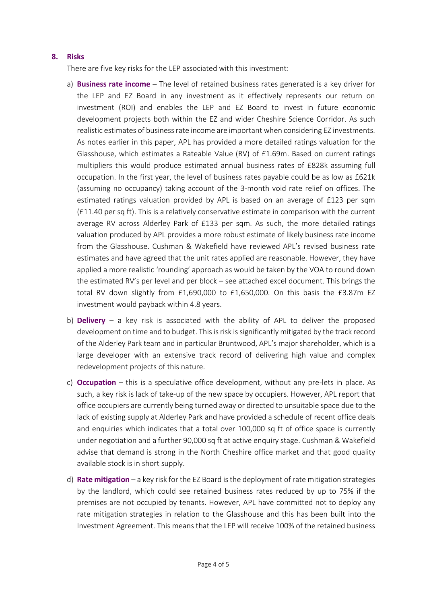#### **8. Risks**

There are five key risks for the LEP associated with this investment:

- a) **Business rate income** The level of retained business rates generated is a key driver for the LEP and EZ Board in any investment as it effectively represents our return on investment (ROI) and enables the LEP and EZ Board to invest in future economic development projects both within the EZ and wider Cheshire Science Corridor. As such realistic estimates of business rate income are important when considering EZ investments. As notes earlier in this paper, APL has provided a more detailed ratings valuation for the Glasshouse, which estimates a Rateable Value (RV) of £1.69m. Based on current ratings multipliers this would produce estimated annual business rates of £828k assuming full occupation. In the first year, the level of business rates payable could be as low as £621k (assuming no occupancy) taking account of the 3-month void rate relief on offices. The estimated ratings valuation provided by APL is based on an average of £123 per sqm (£11.40 per sq ft). This is a relatively conservative estimate in comparison with the current average RV across Alderley Park of £133 per sqm. As such, the more detailed ratings valuation produced by APL provides a more robust estimate of likely business rate income from the Glasshouse. Cushman & Wakefield have reviewed APL's revised business rate estimates and have agreed that the unit rates applied are reasonable. However, they have applied a more realistic 'rounding' approach as would be taken by the VOA to round down the estimated RV's per level and per block – see attached excel document. This brings the total RV down slightly from £1,690,000 to £1,650,000. On this basis the £3.87m EZ investment would payback within 4.8 years.
- b) **Delivery** a key risk is associated with the ability of APL to deliver the proposed development on time and to budget. This is risk is significantly mitigated by the track record of the Alderley Park team and in particular Bruntwood, APL's major shareholder, which is a large developer with an extensive track record of delivering high value and complex redevelopment projects of this nature.
- c) **Occupation** this is a speculative office development, without any pre-lets in place. As such, a key risk is lack of take-up of the new space by occupiers. However, APL report that office occupiers are currently being turned away or directed to unsuitable space due to the lack of existing supply at Alderley Park and have provided a schedule of recent office deals and enquiries which indicates that a total over 100,000 sq ft of office space is currently under negotiation and a further 90,000 sq ft at active enquiry stage. Cushman & Wakefield advise that demand is strong in the North Cheshire office market and that good quality available stock is in short supply.
- d) **Rate mitigation** a key risk for the EZ Board is the deployment of rate mitigation strategies by the landlord, which could see retained business rates reduced by up to 75% if the premises are not occupied by tenants. However, APL have committed not to deploy any rate mitigation strategies in relation to the Glasshouse and this has been built into the Investment Agreement. This means that the LEP will receive 100% of the retained business